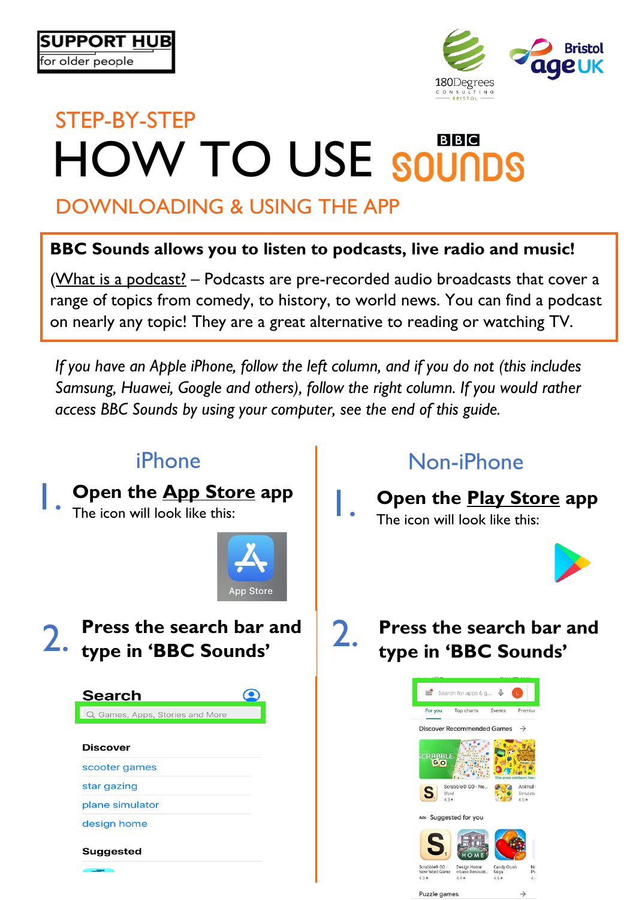

# STEP-BY-STEP **BBC HOW TO USE SOUNDS**

# DOWNLOADING & USING THE APP

### **BBC Sounds allows you to listen to podcasts, live radio and music!**

(What is a podcast? – Podcasts are pre-recorded audio broadcasts that cover a range of topics from comedy, to history, to world news. You can find a podcast on nearly any topic! They are a great alternative to reading or watching TV.

*If you have an Apple iPhone, follow the left column, and if you do not (this includes Samsung, Huawei, Google and others), follow the right column. If you would rather access BBC Sounds by using your computer, see the end of this guide.*

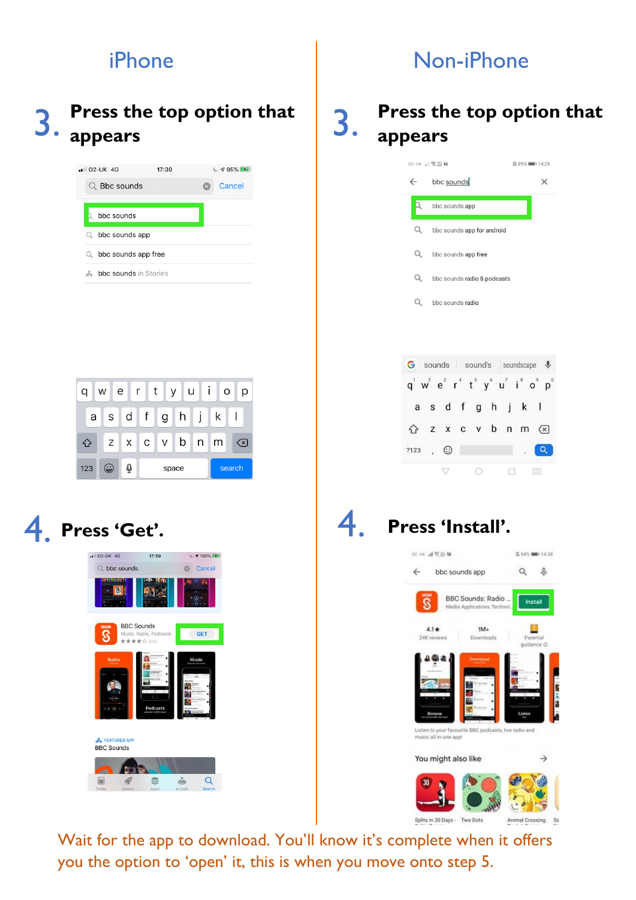### 3. **Press the top option that appears**

| $\blacksquare$ 02-UK 4G  | 17:30 | $\sim$ 795% |
|--------------------------|-------|-------------|
| $\Omega$ Bbc sounds      |       | Cancel      |
|                          |       |             |
| bbc sounds               |       |             |
| bbc sounds app<br>Q      |       |             |
| bbc sounds app free<br>Q |       |             |
| bbc sounds in Stories    |       |             |

|     | W | $e \mid r \mid t \mid$  |  | y u i     | O |        |
|-----|---|-------------------------|--|-----------|---|--------|
| a   |   | s d f                   |  | g   h   j | k |        |
|     |   | $Z$ $X$ $C$ $V$ $D$ $n$ |  |           | m | (x)    |
| 123 | ت | ⇩                       |  | space     |   | search |

# 4. **Press 'Get'.**



## iPhone  $\vert$  Non-iPhone

### 3. **Press the top option that appears**

|      | 02-UK J 00 国                                                         | <b>区95% 图 14:29</b> |
|------|----------------------------------------------------------------------|---------------------|
|      | $\leftarrow$ bbc sounds                                              | ×                   |
| Q    | bbc sounds app                                                       |                     |
| Q    | bbc sounds app for android                                           |                     |
| Q    | bbc sounds app free                                                  |                     |
| Q    | bbc sounds radio & podcasts                                          |                     |
| Q    | bbc sounds radio                                                     |                     |
|      |                                                                      |                     |
|      |                                                                      |                     |
|      | G sounds sound's soundscape &                                        |                     |
|      | $q^1$ w <sup>2</sup> $e^3$ $r^4$ $t^5$ $y^6$ $u^7$ $i^8$ $o^9$ $p^0$ |                     |
|      | as dfghjkl                                                           |                     |
|      | z x c v b n m                                                        | $(\times)$          |
| ?123 | , ල                                                                  |                     |
|      |                                                                      | 空                   |

### 4. **Press 'Install'.**



Wait for the app to download. You'll know it's complete when it offers you the option to 'open' it, this is when you move onto step 5.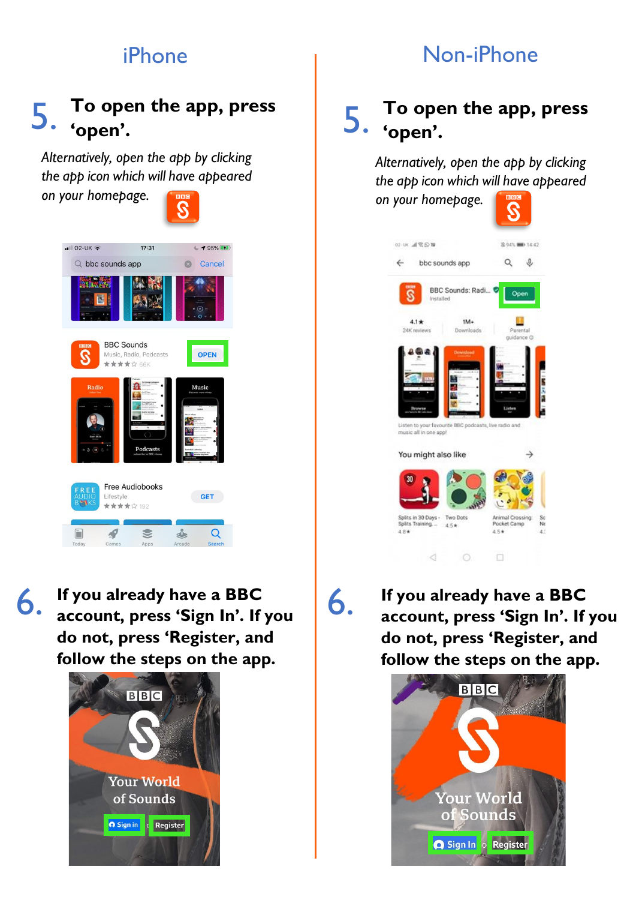# iPhone 1 Non-iPhone

### 5. **To open the app, press 'open'.**

*Alternatively, open the app by clicking the app icon which will have appeared* 

*on your homepage.*  $-102$ -UK  $\approx$  $17:31$  $195%$ Q bbc sounds app  $\circ$ Cancel **BBC Sounds** OPEN Music, Radio, Podcasts \*\*\*\*\*\*\*\* Free Audiobooks GET Lifestyle \*\*\*\*\*\* 192  $\mathcal{L}$  $\mathbf{C}$  $\triangle$  $\alpha$ Ē

6. **If you already have a BBC account, press 'Sign In'. If you do not, press 'Register, and follow the steps on the app.**



### 5. **'open'. To open the app, press**

*Alternatively, open the app by clicking the app icon which will have appeared on your homepage.*

| 02:05 高学区                                                                                                   | B.94% (MID 14:42)                                         |
|-------------------------------------------------------------------------------------------------------------|-----------------------------------------------------------|
| $\leftarrow$<br>bbc sounds app                                                                              |                                                           |
| BBC Sounds: Radi<br>Installed                                                                               | Open                                                      |
| $1M+$<br>$4.1*$<br>24K reviews<br>Downloads                                                                 | Parental<br>guidance O                                    |
| <b>Download</b><br>Browse<br>Listen to your favourite BBC podcasts, live radio and<br>music all in one appl | Listen                                                    |
| You might also like                                                                                         |                                                           |
| 30                                                                                                          |                                                           |
| Splits in 30 Days -<br>Two Dots<br>Splits Training.<br>4.5*<br>4.后米                                         | Animal Crossing:<br>So<br>Pocket Camp<br>Ne<br>4.5*<br>43 |
|                                                                                                             |                                                           |

6.

**If you already have a BBC account, press 'Sign In'. If you do not, press 'Register, and follow the steps on the app.**

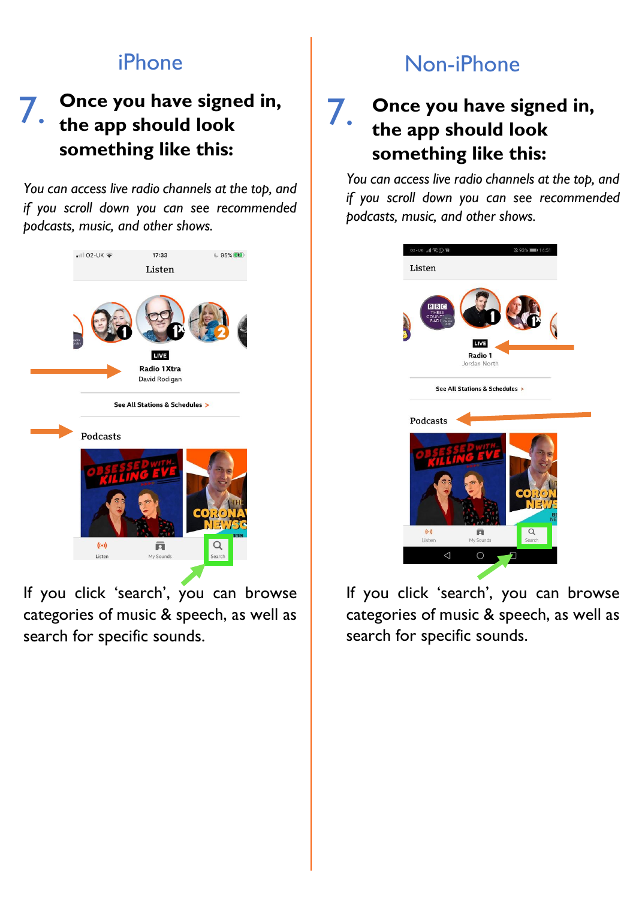### **Once you have signed in, 7.** Once you have signe<br>
7. the app should look **something like this:**

*You can access live radio channels at the top, and if you scroll down you can see recommended podcasts, music, and other shows.*



If you click 'search', you can browse categories of music & speech, as well as search for specific sounds.

## iPhone and Non-iPhone

### 7. **Once you have signed in, the app should look something like this:**

*You can access live radio channels at the top, and if you scroll down you can see recommended podcasts, music, and other shows.*



If you click 'search', you can browse categories of music & speech, as well as search for specific sounds.